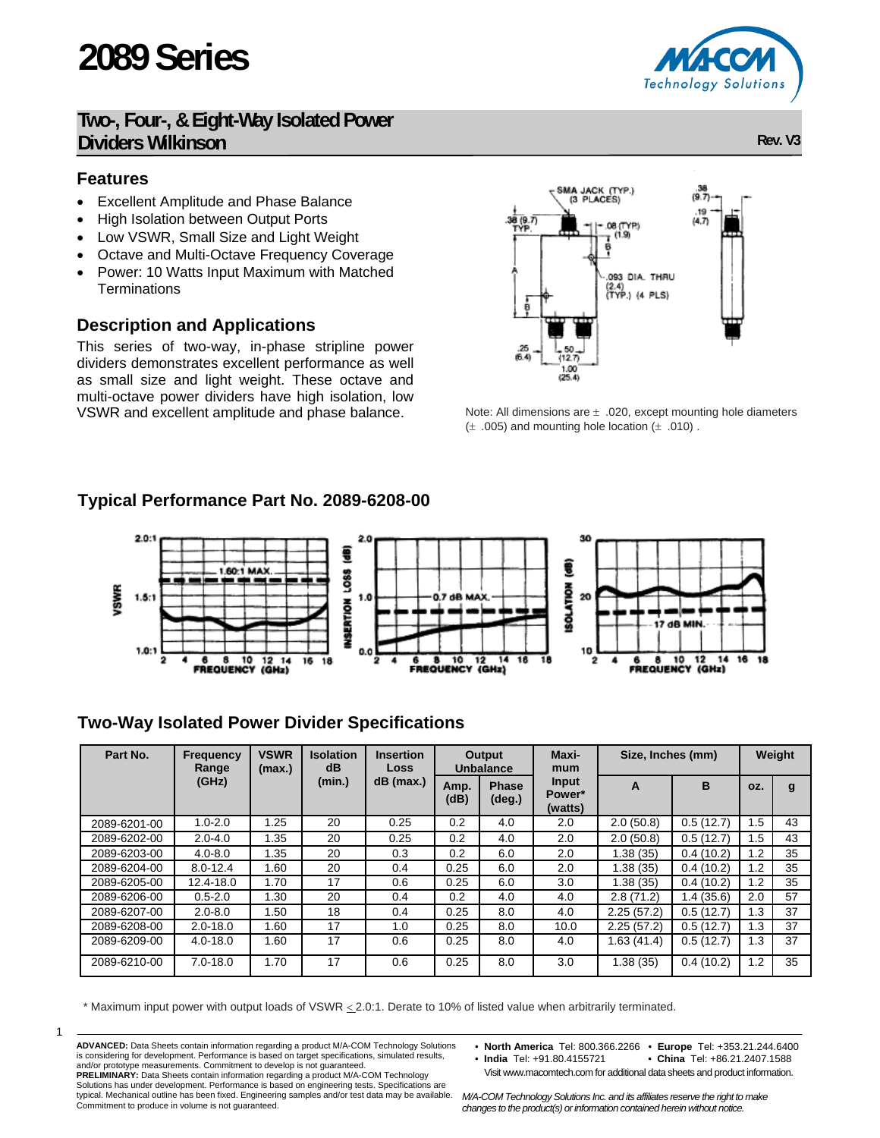# **2089 Series**

### **Two-, Four-, & Eight-Way Isolated Power Dividers Wilkinson** Rev. V3

#### **Features**

- Excellent Amplitude and Phase Balance
- High Isolation between Output Ports
- Low VSWR, Small Size and Light Weight
- Octave and Multi-Octave Frequency Coverage
- Power: 10 Watts Input Maximum with Matched **Terminations**

#### **Description and Applications**

This series of two-way, in-phase stripline power dividers demonstrates excellent performance as well as small size and light weight. These octave and multi-octave power dividers have high isolation, low VSWR and excellent amplitude and phase balance.



Note: All dimensions are  $\pm$  .020, except mounting hole diameters  $(\pm 0.005)$  and mounting hole location  $(\pm 0.010)$ .

#### **Typical Performance Part No. 2089-6208-00**



#### **Two-Way Isolated Power Divider Specifications**

| Part No.     | <b>Frequency</b><br>Range | <b>VSWR</b><br>(max.) | <b>Isolation</b><br>dB | <b>Insertion</b><br>Loss |              | Output<br>Unbalance             | Maxi-<br>mum               | Size, Inches (mm) | Weight     |                |    |
|--------------|---------------------------|-----------------------|------------------------|--------------------------|--------------|---------------------------------|----------------------------|-------------------|------------|----------------|----|
|              | (GHz)                     |                       | (min.)                 | $dB$ (max.)              | Amp.<br>(dB) | <b>Phase</b><br>$(\text{deg.})$ | Input<br>Power*<br>(watts) | A                 | B          | OZ.            | g  |
| 2089-6201-00 | $1.0 - 2.0$               | 1.25                  | 20                     | 0.25                     | 0.2          | 4.0                             | 2.0                        | 2.0(50.8)         | 0.5(12.7)  | 1.5            | 43 |
| 2089-6202-00 | $2.0 - 4.0$               | 1.35                  | 20                     | 0.25                     | 0.2          | 4.0                             | 2.0                        | 2.0(50.8)         | 0.5(12.7)  | .5             | 43 |
| 2089-6203-00 | $4.0 - 8.0$               | 1.35                  | 20                     | 0.3                      | 0.2          | 6.0                             | 2.0                        | 1.38(35)          | 0.4(10.2)  | 1.2            | 35 |
| 2089-6204-00 | $8.0 - 12.4$              | 1.60                  | 20                     | 0.4                      | 0.25         | 6.0                             | 2.0                        | 1.38 (35)         | 0.4(10.2)  | 2. ا           | 35 |
| 2089-6205-00 | 12.4-18.0                 | 1.70                  | 17                     | 0.6                      | 0.25         | 6.0                             | 3.0                        | 1.38 (35)         | 0.4(10.2)  | $\overline{2}$ | 35 |
| 2089-6206-00 | $0.5 - 2.0$               | 1.30                  | 20                     | 0.4                      | 0.2          | 4.0                             | 4.0                        | 2.8(71.2)         | 1.4 (35.6) | 2.0            | 57 |
| 2089-6207-00 | $2.0 - 8.0$               | l.50                  | 18                     | 0.4                      | 0.25         | 8.0                             | 4.0                        | 2.25(57.2)        | 0.5(12.7)  | 1.3            | 37 |
| 2089-6208-00 | $2.0 - 18.0$              | .60                   | 17                     | 1.0                      | 0.25         | 8.0                             | 10.0                       | 2.25(57.2)        | 0.5(12.7)  | 1.3            | 37 |
| 2089-6209-00 | $4.0 - 18.0$              | 1.60                  | 17                     | 0.6                      | 0.25         | 8.0                             | 4.0                        | 1.63(41.4)        | 0.5(12.7)  | 1.3            | 37 |
| 2089-6210-00 | $7.0 - 18.0$              | 1.70                  | 17                     | 0.6                      | 0.25         | 8.0                             | 3.0                        | 1.38 (35)         | 0.4(10.2)  | 1.2            | 35 |

\* Maximum input power with output loads of VSWR < 2.0:1. Derate to 10% of listed value when arbitrarily terminated.

- 1
- **ADVANCED:** Data Sheets contain information regarding a product M/A-COM Technology Solutions is considering for development. Performance is based on target specifications, simulated results,<br>and/or prototype measurements. Commitment to develop is not guaranteed.<br>PRELIMINARY: Data Sheets contain information regardi typical. Mechanical outline has been fixed. Engineering samples and/or test data may be available.

Commitment to produce in volume is not guaranteed.

- **North America** Tel: 800.366.2266 **Europe** Tel: +353.21.244.6400
- China Tel: +86.21.2407.1588 Visit www.macomtech.com for additional data sheets and product information.

*M/A-COM Technology Solutions Inc. and its affiliates reserve the right to make changes to the product(s) or information contained herein without notice.* 

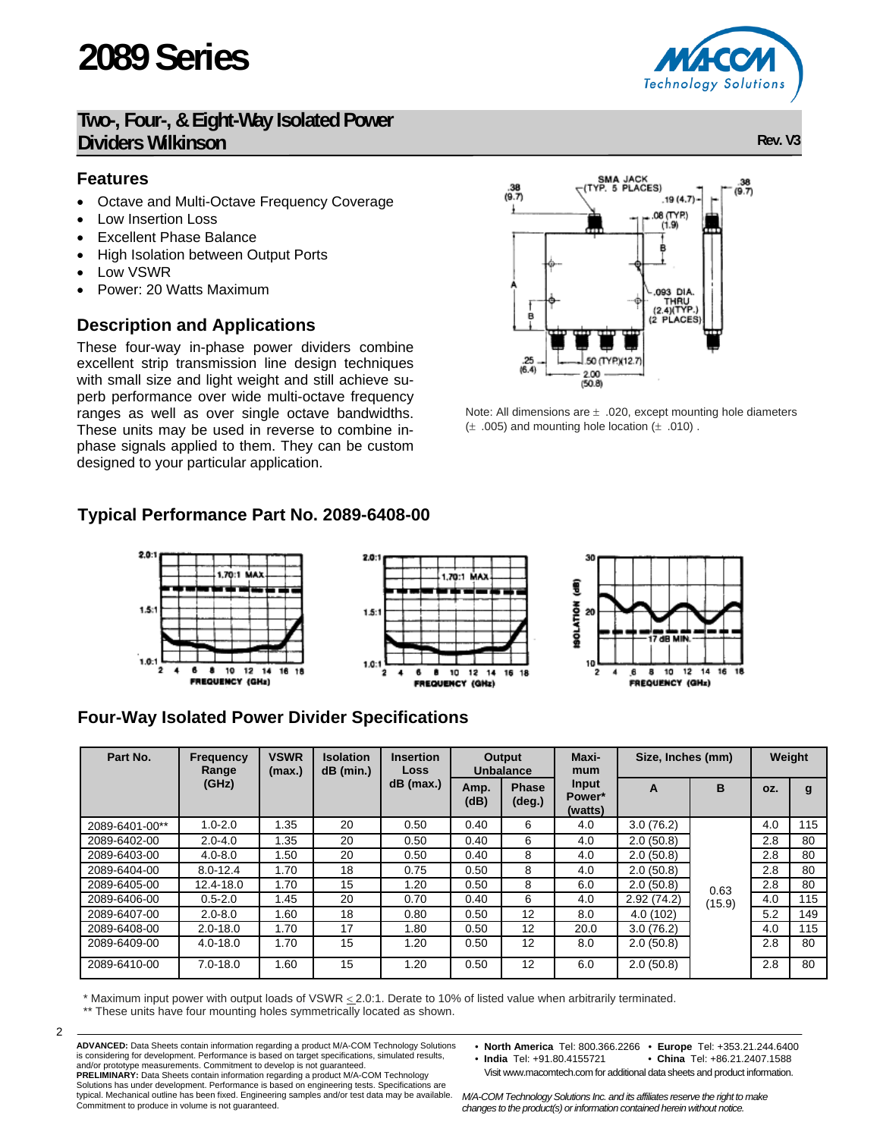# **2089 Series**

## **Two-, Four-, & Eight-Way Isolated Power Dividers Wilkinson** Rev. V3

### **Features**

- Octave and Multi-Octave Frequency Coverage
- Low Insertion Loss
- **Excellent Phase Balance**
- High Isolation between Output Ports
- Low VSWR
- Power: 20 Watts Maximum

## **Description and Applications**

These four-way in-phase power dividers combine excellent strip transmission line design techniques with small size and light weight and still achieve superb performance over wide multi-octave frequency ranges as well as over single octave bandwidths. These units may be used in reverse to combine inphase signals applied to them. They can be custom designed to your particular application.

# **Typical Performance Part No. 2089-6408-00**



# **Four-Way Isolated Power Divider Specifications**

| Part No.       | <b>Frequency</b><br>Range | <b>VSWR</b><br>(max.) | <b>Isolation</b><br>$dB$ (min.) | <b>Insertion</b><br>Loss | Output<br><b>Unbalance</b> |                                 | Maxi-<br>mum | Size, Inches (mm) |        | Weight |     |
|----------------|---------------------------|-----------------------|---------------------------------|--------------------------|----------------------------|---------------------------------|--------------|-------------------|--------|--------|-----|
|                | (GHz)                     |                       |                                 | $dB$ (max.)              | Amp.<br>(dB)               | <b>Phase</b><br>$(\text{deg.})$ |              | A                 | B      | OZ.    | g   |
| 2089-6401-00** | $1.0 - 2.0$               | 1.35                  | 20                              | 0.50                     | 0.40                       | 6                               | 4.0          | 3.0(76.2)         |        | 4.0    | 115 |
| 2089-6402-00   | $2.0 - 4.0$               | 1.35                  | 20                              | 0.50                     | 0.40                       | 6                               | 4.0          | 2.0(50.8)         |        | 2.8    | 80  |
| 2089-6403-00   | $4.0 - 8.0$               | 1.50                  | 20                              | 0.50                     | 0.40                       | 8                               | 4.0          | 2.0(50.8)         | 0.63   | 2.8    | 80  |
| 2089-6404-00   | $8.0 - 12.4$              | 1.70                  | 18                              | 0.75                     | 0.50                       | 8                               | 4.0          | 2.0(50.8)         |        | 2.8    | 80  |
| 2089-6405-00   | 12.4-18.0                 | 1.70                  | 15                              | 1.20                     | 0.50                       | 8                               | 6.0          | 2.0(50.8)         |        | 2.8    | 80  |
| 2089-6406-00   | $0.5 - 2.0$               | 1.45                  | 20                              | 0.70                     | 0.40                       | 6                               | 4.0          | 2.92(74.2)        | (15.9) | 4.0    | 115 |
| 2089-6407-00   | $2.0 - 8.0$               | 1.60                  | 18                              | 0.80                     | 0.50                       | 12                              | 8.0          | 4.0(102)          |        | 5.2    | 149 |
| 2089-6408-00   | $2.0 - 18.0$              | 1.70                  | 17                              | 1.80                     | 0.50                       | 12                              | 20.0         | 3.0(76.2)         |        | 4.0    | 115 |
| 2089-6409-00   | $4.0 - 18.0$              | 1.70                  | 15                              | 1.20                     | 0.50                       | 12                              | 8.0          | 2.0(50.8)         |        | 2.8    | 80  |
| 2089-6410-00   | $7.0 - 18.0$              | 1.60                  | 15                              | 1.20                     | 0.50                       | 12                              | 6.0          | 2.0(50.8)         |        | 2.8    | 80  |

\* Maximum input power with output loads of VSWR < 2.0:1. Derate to 10% of listed value when arbitrarily terminated.

\*\* These units have four mounting holes symmetrically located as shown.

**ADVANCED:** Data Sheets contain information regarding a product M/A-COM Technology Solutions is considering for development. Performance is based on target specifications, simulated results,<br>and/or prototype measurements. Commitment to develop is not guaranteed.<br>PRELIMINARY: Data Sheets contain information regardi typical. Mechanical outline has been fixed. Engineering samples and/or test data may be available.

Commitment to produce in volume is not guaranteed.

2

- **North America** Tel: 800.366.2266 **Europe** Tel: +353.21.244.6400
- China Tel: +86.21.2407.1588 Visit www.macomtech.com for additional data sheets and product information.

*M/A-COM Technology Solutions Inc. and its affiliates reserve the right to make changes to the product(s) or information contained herein without notice.* 

 $\frac{.25}{(6.4)}$ 50 (TYP)(12.7 2.00  $(50.8)$ 

Note: All dimensions are  $\pm$  .020, except mounting hole diameters  $(\pm 0.005)$  and mounting hole location  $(\pm 0.010)$ .